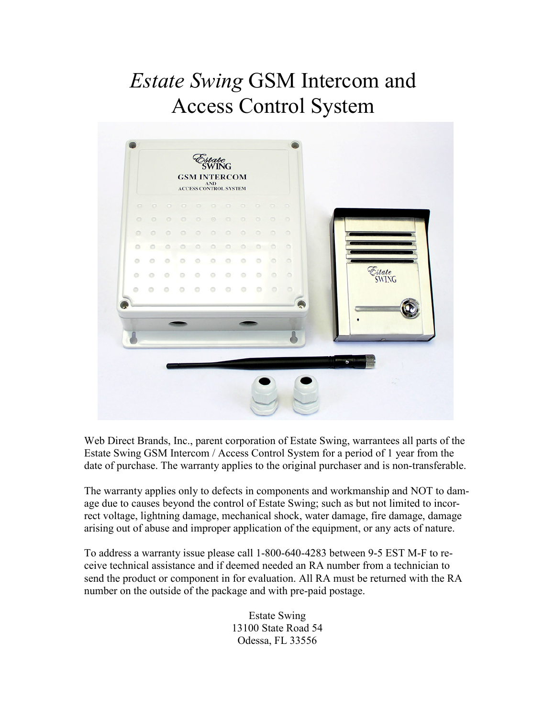# Estate Swing GSM Intercom and Access Control System



Web Direct Brands, Inc., parent corporation of Estate Swing, warrantees all parts of the Estate Swing GSM Intercom / Access Control System for a period of 1 year from the date of purchase. The warranty applies to the original purchaser and is non-transferable.

The warranty applies only to defects in components and workmanship and NOT to damage due to causes beyond the control of Estate Swing; such as but not limited to incorrect voltage, lightning damage, mechanical shock, water damage, fire damage, damage arising out of abuse and improper application of the equipment, or any acts of nature.

To address a warranty issue please call 1-800-640-4283 between 9-5 EST M-F to receive technical assistance and if deemed needed an RA number from a technician to send the product or component in for evaluation. All RA must be returned with the RA number on the outside of the package and with pre-paid postage.

> Estate Swing 13100 State Road 54 Odessa, FL 33556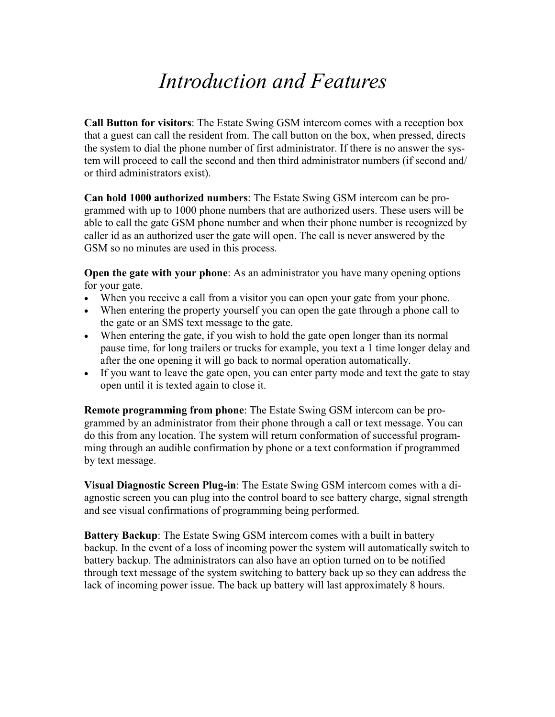## Introduction and Features

Call Button for visitors: The Estate Swing GSM intercom comes with a reception box that a guest can call the resident from. The call button on the box, when pressed, directs the system to dial the phone number of first administrator. If there is no answer the system will proceed to call the second and then third administrator numbers (if second and/ or third administrators exist).

Can hold 1000 authorized numbers: The Estate Swing GSM intercom can be programmed with up to 1000 phone numbers that are authorized users. These users will be able to call the gate GSM phone number and when their phone number is recognized by caller id as an authorized user the gate will open. The call is never answered by the GSM so no minutes are used in this process.

Open the gate with your phone: As an administrator you have many opening options for your gate.

- When you receive a call from a visitor you can open your gate from your phone.
- When entering the property yourself you can open the gate through a phone call to the gate or an SMS text message to the gate.
- When entering the gate, if you wish to hold the gate open longer than its normal pause time, for long trailers or trucks for example, you text a 1 time longer delay and after the one opening it will go back to normal operation automatically.
- If you want to leave the gate open, you can enter party mode and text the gate to stay open until it is texted again to close it.

Remote programming from phone: The Estate Swing GSM intercom can be programmed by an administrator from their phone through a call or text message. You can do this from any location. The system will return conformation of successful programming through an audible confirmation by phone or a text conformation if programmed by text message.

Visual Diagnostic Screen Plug-in: The Estate Swing GSM intercom comes with a diagnostic screen you can plug into the control board to see battery charge, signal strength and see visual confirmations of programming being performed.

Battery Backup: The Estate Swing GSM intercom comes with a built in battery backup. In the event of a loss of incoming power the system will automatically switch to battery backup. The administrators can also have an option turned on to be notified through text message of the system switching to battery back up so they can address the lack of incoming power issue. The back up battery will last approximately 8 hours.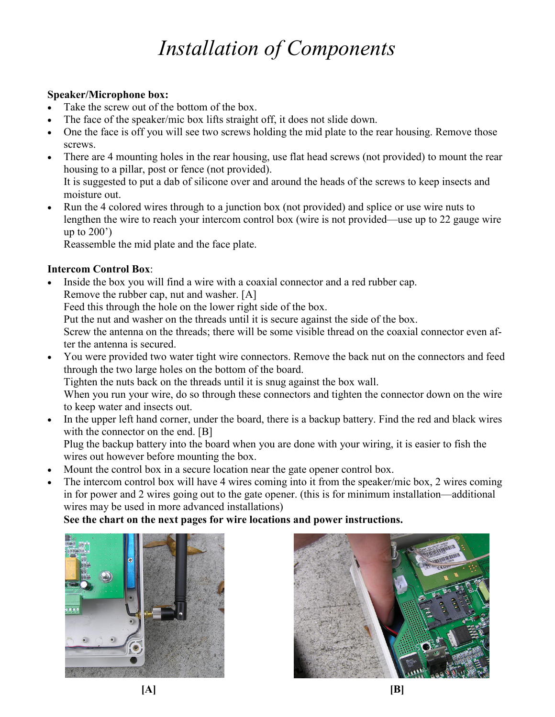# Installation of Components

## Speaker/Microphone box:

- Take the screw out of the bottom of the box.
- The face of the speaker/mic box lifts straight off, it does not slide down.
- One the face is off you will see two screws holding the mid plate to the rear housing. Remove those screws.
- There are 4 mounting holes in the rear housing, use flat head screws (not provided) to mount the rear housing to a pillar, post or fence (not provided).

It is suggested to put a dab of silicone over and around the heads of the screws to keep insects and moisture out.

• Run the 4 colored wires through to a junction box (not provided) and splice or use wire nuts to lengthen the wire to reach your intercom control box (wire is not provided—use up to 22 gauge wire up to 200')

Reassemble the mid plate and the face plate.

## Intercom Control Box:

Inside the box you will find a wire with a coaxial connector and a red rubber cap. Remove the rubber cap, nut and washer. [A]

Feed this through the hole on the lower right side of the box.

Put the nut and washer on the threads until it is secure against the side of the box.

Screw the antenna on the threads; there will be some visible thread on the coaxial connector even after the antenna is secured.

• You were provided two water tight wire connectors. Remove the back nut on the connectors and feed through the two large holes on the bottom of the board. Tighten the nuts back on the threads until it is snug against the box wall.

When you run your wire, do so through these connectors and tighten the connector down on the wire to keep water and insects out.

• In the upper left hand corner, under the board, there is a backup battery. Find the red and black wires with the connector on the end. [B]

Plug the backup battery into the board when you are done with your wiring, it is easier to fish the wires out however before mounting the box.

- Mount the control box in a secure location near the gate opener control box.
- The intercom control box will have 4 wires coming into it from the speaker/mic box, 2 wires coming in for power and 2 wires going out to the gate opener. (this is for minimum installation—additional wires may be used in more advanced installations)

## See the chart on the next pages for wire locations and power instructions.



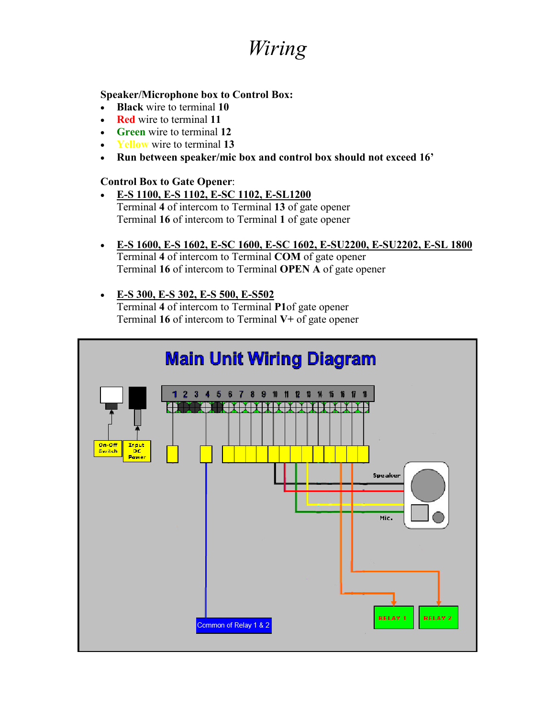## Wiring

## Speaker/Microphone box to Control Box:

- Black wire to terminal 10
- Red wire to terminal 11
- Green wire to terminal 12
- Yellow wire to terminal 13
- Run between speaker/mic box and control box should not exceed 16'

## Control Box to Gate Opener:

- E-S 1100, E-S 1102, E-SC 1102, E-SL1200 Terminal 4 of intercom to Terminal 13 of gate opener Terminal 16 of intercom to Terminal 1 of gate opener
- E-S 1600, E-S 1602, E-SC 1600, E-SC 1602, E-SU2200, E-SU2202, E-SL 1800 Terminal 4 of intercom to Terminal COM of gate opener Terminal 16 of intercom to Terminal OPEN A of gate opener

## • E-S 300, E-S 302, E-S 500, E-S502

Terminal 4 of intercom to Terminal P1of gate opener Terminal 16 of intercom to Terminal V+ of gate opener

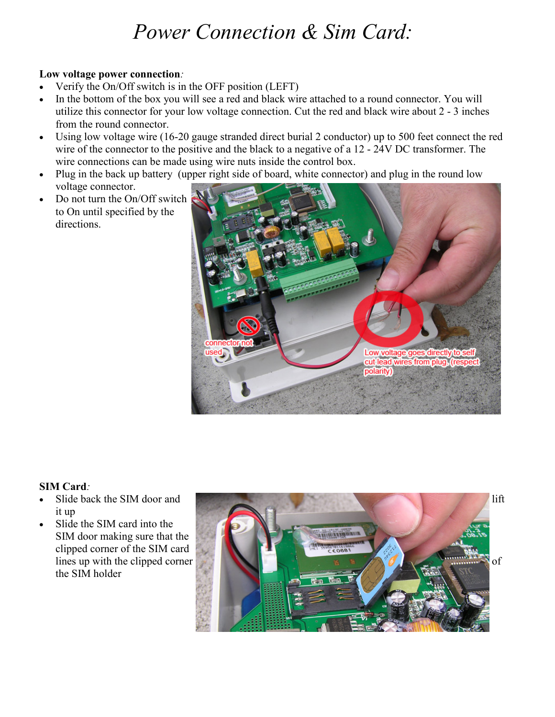## Power Connection & Sim Card:

### Low voltage power connection:

- Verify the On/Off switch is in the OFF position (LEFT)
- In the bottom of the box you will see a red and black wire attached to a round connector. You will utilize this connector for your low voltage connection. Cut the red and black wire about 2 - 3 inches from the round connector.
- Using low voltage wire (16-20 gauge stranded direct burial 2 conductor) up to 500 feet connect the red wire of the connector to the positive and the black to a negative of a 12 - 24V DC transformer. The wire connections can be made using wire nuts inside the control box.
- Plug in the back up battery (upper right side of board, white connector) and plug in the round low voltage connector.
- Do not turn the On/Off switch to On until specified by the directions.



## SIM Card:

- it up
- Slide the SIM card into the SIM door making sure that the clipped corner of the SIM card the SIM holder

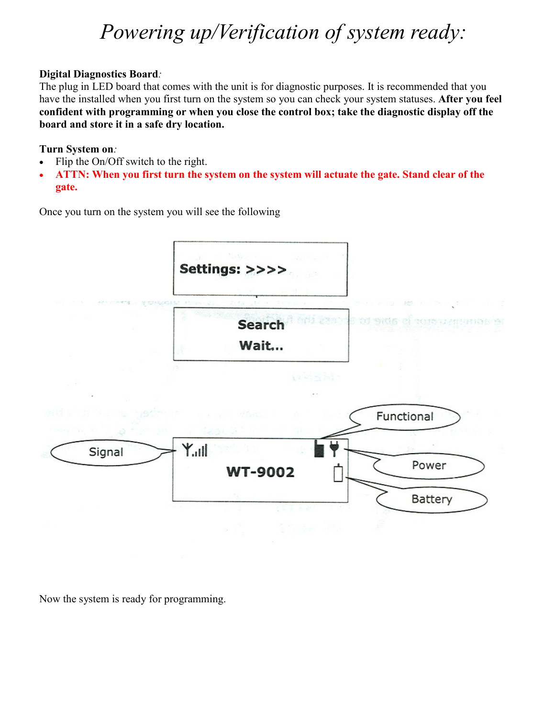## Powering up/Verification of system ready:

## Digital Diagnostics Board:

The plug in LED board that comes with the unit is for diagnostic purposes. It is recommended that you have the installed when you first turn on the system so you can check your system statuses. After you feel confident with programming or when you close the control box; take the diagnostic display off the board and store it in a safe dry location.

## Turn System on:

- Flip the On/Off switch to the right.
- ATTN: When you first turn the system on the system will actuate the gate. Stand clear of the gate.

Once you turn on the system you will see the following



Now the system is ready for programming.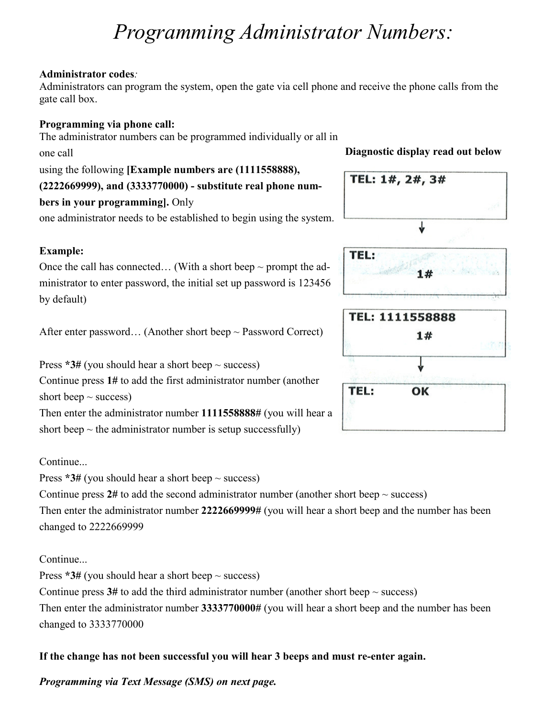## Programming Administrator Numbers:

## Administrator codes:

Administrators can program the system, open the gate via cell phone and receive the phone calls from the gate call box.

## Programming via phone call:

The administrator numbers can be programmed individually or all in one call using the following [Example numbers are (1111558888), (2222669999), and (3333770000) - substitute real phone numbers in your programming]. Only

one administrator needs to be established to begin using the system.

## Example:

Once the call has connected... (With a short beep  $\sim$  prompt the administrator to enter password, the initial set up password is 123456 by default)

After enter password... (Another short beep  $\sim$  Password Correct)

Press  $*3#$  (you should hear a short beep  $\sim$  success)

Continue press 1# to add the first administrator number (another short beep  $\sim$  success)

Then enter the administrator number 1111558888# (you will hear a short beep  $\sim$  the administrator number is setup successfully)

## **Continue.**

Press  $*3#$  (you should hear a short beep  $\sim$  success)

Continue press  $2\#$  to add the second administrator number (another short beep  $\sim$  success) Then enter the administrator number 2222669999# (you will hear a short beep and the number has been changed to 2222669999

## **Continue**.

Press  $*3#$  (you should hear a short beep  $\sim$  success) Continue press  $3#$  to add the third administrator number (another short beep  $\sim$  success)

Then enter the administrator number 3333770000# (you will hear a short beep and the number has been changed to 3333770000

## If the change has not been successful you will hear 3 beeps and must re-enter again.

Programming via Text Message (SMS) on next page.

## Diagnostic display read out below

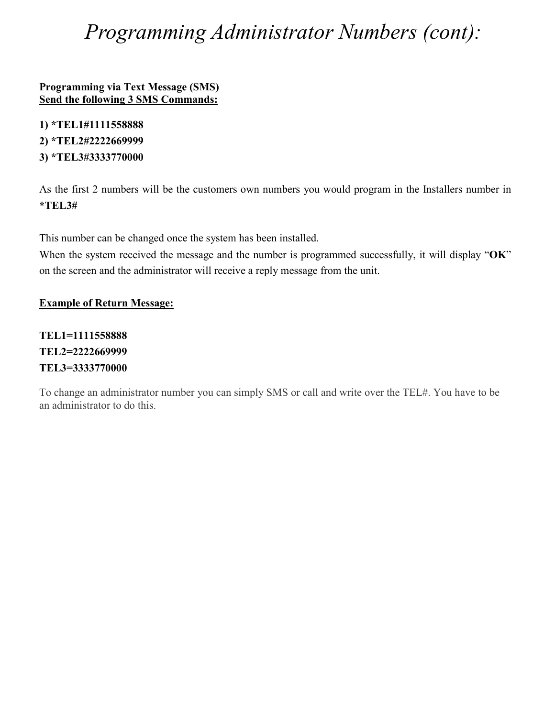## Programming Administrator Numbers (cont):

Programming via Text Message (SMS) Send the following 3 SMS Commands:

1) \*TEL1#1111558888 2) \*TEL2#2222669999 3) \*TEL3#3333770000

As the first 2 numbers will be the customers own numbers you would program in the Installers number in \*TEL3#

This number can be changed once the system has been installed.

When the system received the message and the number is programmed successfully, it will display "OK" on the screen and the administrator will receive a reply message from the unit.

## Example of Return Message:

TEL1=1111558888 TEL2=2222669999 TEL3=3333770000

To change an administrator number you can simply SMS or call and write over the TEL#. You have to be an administrator to do this.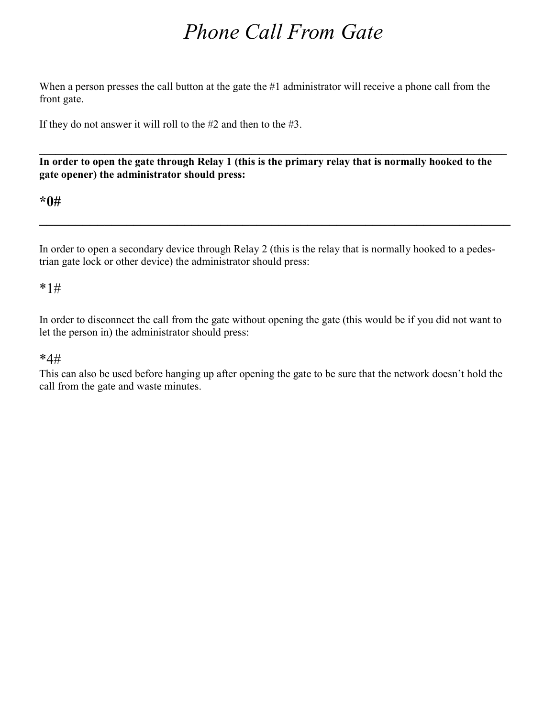## Phone Call From Gate

When a person presses the call button at the gate the #1 administrator will receive a phone call from the front gate.

If they do not answer it will roll to the #2 and then to the #3.

 $\_$  , and the set of the set of the set of the set of the set of the set of the set of the set of the set of the set of the set of the set of the set of the set of the set of the set of the set of the set of the set of th In order to open the gate through Relay 1 (this is the primary relay that is normally hooked to the gate opener) the administrator should press:

## \*0#

In order to open a secondary device through Relay 2 (this is the relay that is normally hooked to a pedestrian gate lock or other device) the administrator should press:

 $\_$ 

## \*1#

In order to disconnect the call from the gate without opening the gate (this would be if you did not want to let the person in) the administrator should press:

## \*4#

This can also be used before hanging up after opening the gate to be sure that the network doesn't hold the call from the gate and waste minutes.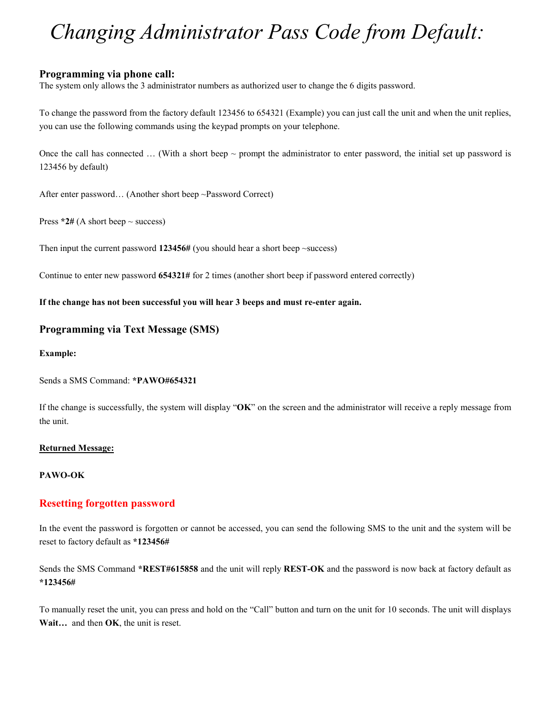## Changing Administrator Pass Code from Default:

#### Programming via phone call:

The system only allows the 3 administrator numbers as authorized user to change the 6 digits password.

To change the password from the factory default 123456 to 654321 (Example) you can just call the unit and when the unit replies, you can use the following commands using the keypad prompts on your telephone.

Once the call has connected  $\ldots$  (With a short beep  $\sim$  prompt the administrator to enter password, the initial set up password is 123456 by default)

After enter password… (Another short beep ~Password Correct)

Press  $*2#$  (A short beep  $\sim$  success)

Then input the current password  $123456#$  (you should hear a short beep  $\sim$ success)

Continue to enter new password 654321# for 2 times (another short beep if password entered correctly)

#### If the change has not been successful you will hear 3 beeps and must re-enter again.

#### Programming via Text Message (SMS)

#### Example:

Sends a SMS Command: \*PAWO#654321

If the change is successfully, the system will display "OK" on the screen and the administrator will receive a reply message from the unit.

#### Returned Message:

#### PAWO-OK

#### Resetting forgotten password

In the event the password is forgotten or cannot be accessed, you can send the following SMS to the unit and the system will be reset to factory default as \*123456#

Sends the SMS Command \*REST#615858 and the unit will reply REST-OK and the password is now back at factory default as \*123456#

To manually reset the unit, you can press and hold on the "Call" button and turn on the unit for 10 seconds. The unit will displays Wait... and then OK, the unit is reset.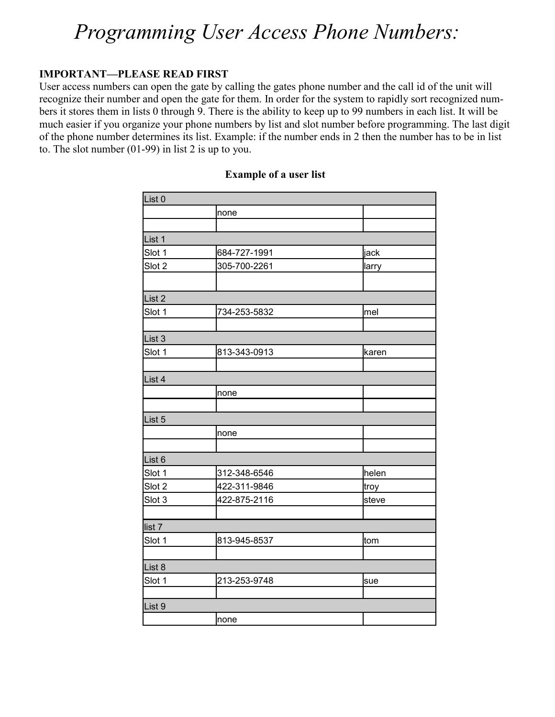## Programming User Access Phone Numbers:

## IMPORTANT—PLEASE READ FIRST

User access numbers can open the gate by calling the gates phone number and the call id of the unit will recognize their number and open the gate for them. In order for the system to rapidly sort recognized numbers it stores them in lists 0 through 9. There is the ability to keep up to 99 numbers in each list. It will be much easier if you organize your phone numbers by list and slot number before programming. The last digit of the phone number determines its list. Example: if the number ends in 2 then the number has to be in list to. The slot number (01-99) in list 2 is up to you.

| List 0            |              |       |
|-------------------|--------------|-------|
|                   | none         |       |
|                   |              |       |
| List 1            |              |       |
| Slot 1            | 684-727-1991 | jack  |
| Slot 2            | 305-700-2261 | larry |
|                   |              |       |
| List 2            |              |       |
| Slot 1            | 734-253-5832 | mel   |
|                   |              |       |
| List 3            |              |       |
| Slot 1            | 813-343-0913 | karen |
|                   |              |       |
| List <sub>4</sub> |              |       |
|                   | none         |       |
|                   |              |       |
| List <sub>5</sub> |              |       |
|                   | none         |       |
|                   |              |       |
| List <sub>6</sub> |              |       |
| Slot 1            | 312-348-6546 | helen |
| Slot 2            | 422-311-9846 | troy  |
| Slot 3            | 422-875-2116 | steve |
|                   |              |       |
| list <sub>7</sub> |              |       |
| Slot 1            | 813-945-8537 | tom   |
|                   |              |       |
| List 8            |              |       |
| Slot 1            | 213-253-9748 | sue   |
|                   |              |       |
| List 9            |              |       |
|                   | none         |       |

### Example of a user list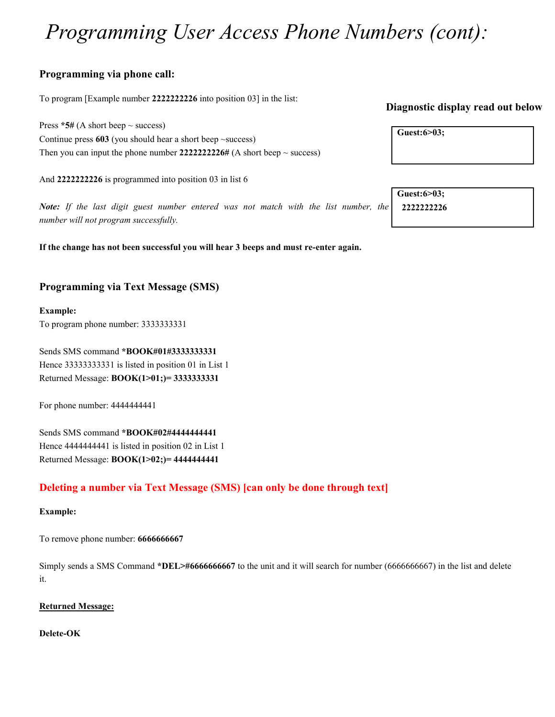## Programming User Access Phone Numbers (cont):

## Programming via phone call:

To program [Example number 2222222226 into position 03] in the list:

Press  $*5#$  (A short beep  $\sim$  success) Continue press  $603$  (you should hear a short beep  $\sim$ success) Then you can input the phone number  $222222226\#$  (A short beep  $\sim$  success)

And 2222222226 is programmed into position 03 in list 6

Note: If the last digit guest number entered was not match with the list number, the number will not program successfully.

If the change has not been successful you will hear 3 beeps and must re-enter again.

## Programming via Text Message (SMS)

#### Example:

To program phone number: 3333333331

Sends SMS command \*BOOK#01#3333333331 Hence 33333333331 is listed in position 01 in List 1 Returned Message: BOOK(1>01;)= 3333333331

For phone number: 4444444441

Sends SMS command \*BOOK#02#4444444441 Hence 4444444441 is listed in position 02 in List 1 Returned Message: BOOK(1>02;)= 4444444441

## Deleting a number via Text Message (SMS) [can only be done through text]

#### Example:

To remove phone number: 6666666667

Simply sends a SMS Command \*DEL>#6666666667 to the unit and it will search for number (6666666667) in the list and delete it.

#### Returned Message:

#### Delete-OK

## Diagnostic display read out below

| Guest:6>03; |  |
|-------------|--|
|             |  |

Guest:6>03;

2222222226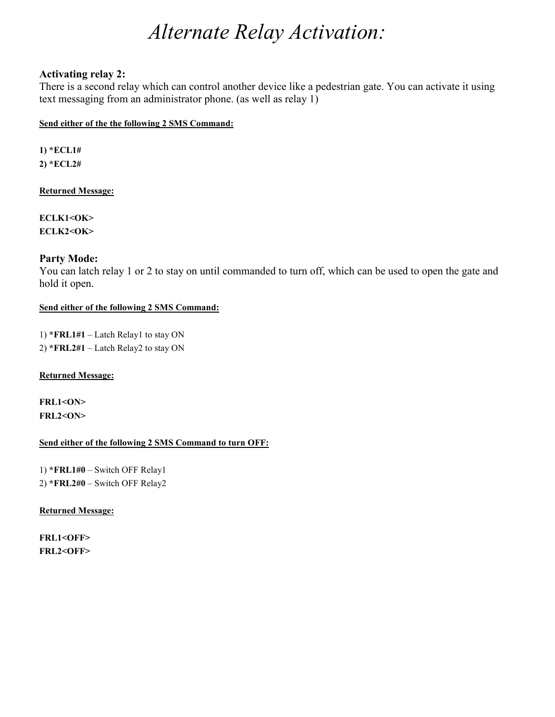## Alternate Relay Activation:

### Activating relay 2:

There is a second relay which can control another device like a pedestrian gate. You can activate it using text messaging from an administrator phone. (as well as relay 1)

#### Send either of the the following 2 SMS Command:

1) \*ECL1# 2) \*ECL2#

#### Returned Message:

ECLK1<OK> ECLK2<OK>

### Party Mode:

You can latch relay 1 or 2 to stay on until commanded to turn off, which can be used to open the gate and hold it open.

#### Send either of the following 2 SMS Command:

1) \*FRL1#1 – Latch Relay1 to stay ON 2) \*FRL2#1 – Latch Relay2 to stay ON

#### Returned Message:

FRL1<ON>  $FRL2 < ON$ 

#### Send either of the following 2 SMS Command to turn OFF:

1) \*FRL1#0 – Switch OFF Relay1 2) \*FRL2#0 – Switch OFF Relay2

#### Returned Message:

FRL1<OFF> FRL2<OFF>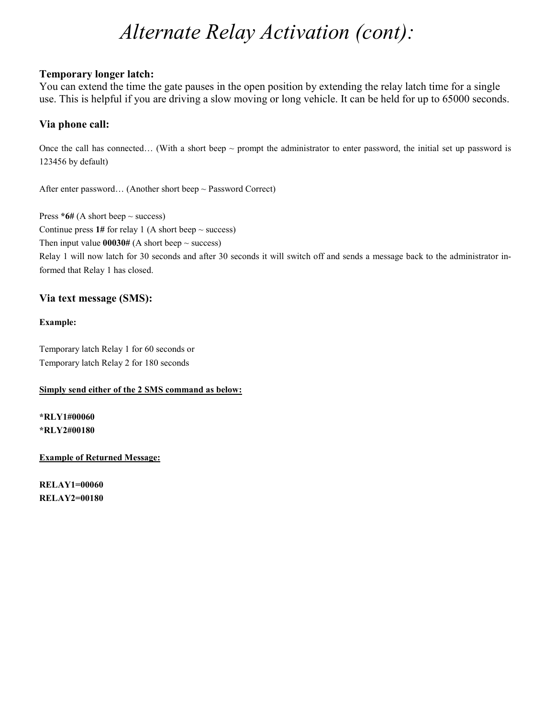## Alternate Relay Activation (cont):

### Temporary longer latch:

You can extend the time the gate pauses in the open position by extending the relay latch time for a single use. This is helpful if you are driving a slow moving or long vehicle. It can be held for up to 65000 seconds.

### Via phone call:

Once the call has connected... (With a short beep  $\sim$  prompt the administrator to enter password, the initial set up password is 123456 by default)

After enter password… (Another short beep ~ Password Correct)

Press  $*6#$  (A short beep  $\sim$  success) Continue press  $1#$  for relay 1 (A short beep  $\sim$  success)

Then input value  $00030#$  (A short beep  $\sim$  success)

Relay 1 will now latch for 30 seconds and after 30 seconds it will switch off and sends a message back to the administrator informed that Relay 1 has closed.

## Via text message (SMS):

#### Example:

Temporary latch Relay 1 for 60 seconds or Temporary latch Relay 2 for 180 seconds

#### Simply send either of the 2 SMS command as below:

\*RLY1#00060 \*RLY2#00180

Example of Returned Message:

RELAY1=00060 RELAY2=00180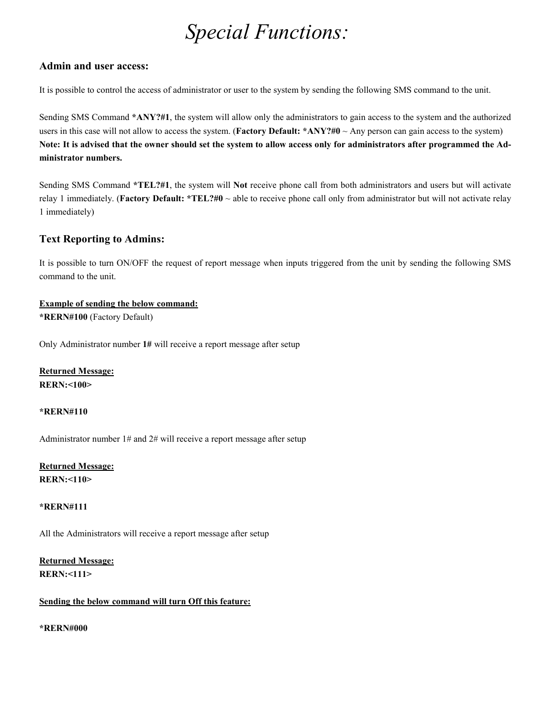## Special Functions:

#### Admin and user access:

It is possible to control the access of administrator or user to the system by sending the following SMS command to the unit.

Sending SMS Command \*ANY?#1, the system will allow only the administrators to gain access to the system and the authorized users in this case will not allow to access the system. (**Factory Default:** \*ANY?#0  $\sim$  Any person can gain access to the system) Note: It is advised that the owner should set the system to allow access only for administrators after programmed the Administrator numbers.

Sending SMS Command \*TEL?#1, the system will Not receive phone call from both administrators and users but will activate relay 1 immediately. (Factory Default: \*TEL?#0  $\sim$  able to receive phone call only from administrator but will not activate relay 1 immediately)

## Text Reporting to Admins:

It is possible to turn ON/OFF the request of report message when inputs triggered from the unit by sending the following SMS command to the unit.

## Example of sending the below command:

\*RER9#100 (Factory Default)

Only Administrator number 1# will receive a report message after setup

### Returned Message: **RERN:<100>**

#### \*RER9#110

Administrator number 1# and 2# will receive a report message after setup

## Returned Message: **RERN: < 110>**

#### \*RER9#111

All the Administrators will receive a report message after setup

## Returned Message:

**RERN: < 111>** 

#### Sending the below command will turn Off this feature:

#### \*RERN#000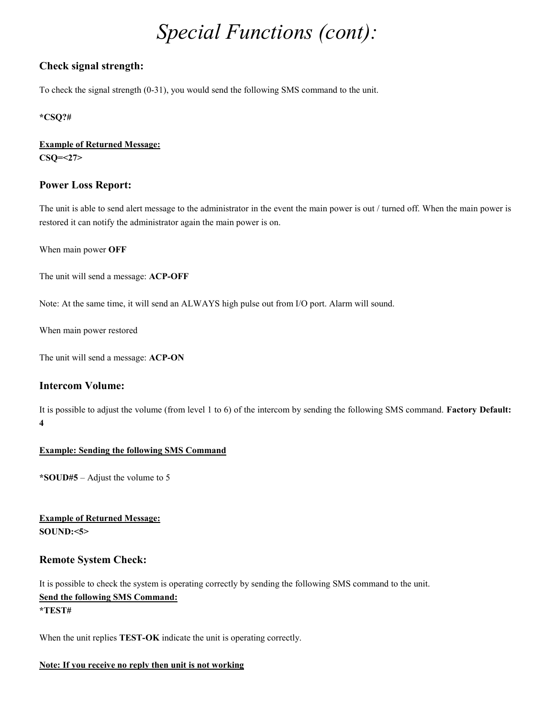## Special Functions (cont):

### Check signal strength:

To check the signal strength (0-31), you would send the following SMS command to the unit.

#### \*CSQ?#

#### Example of Returned Message: CSQ=<27>

#### Power Loss Report:

The unit is able to send alert message to the administrator in the event the main power is out / turned off. When the main power is restored it can notify the administrator again the main power is on.

When main power OFF

The unit will send a message: ACP-OFF

Note: At the same time, it will send an ALWAYS high pulse out from I/O port. Alarm will sound.

When main power restored

The unit will send a message: ACP-ON

### Intercom Volume:

It is possible to adjust the volume (from level 1 to 6) of the intercom by sending the following SMS command. Factory Default: 4

#### Example: Sending the following SMS Command

\*SOUD#5 – Adjust the volume to 5

Example of Returned Message:  $SOUND: <5>$ 

### Remote System Check:

It is possible to check the system is operating correctly by sending the following SMS command to the unit. Send the following SMS Command: \*TEST#

When the unit replies **TEST-OK** indicate the unit is operating correctly.

#### Note: If you receive no reply then unit is not working